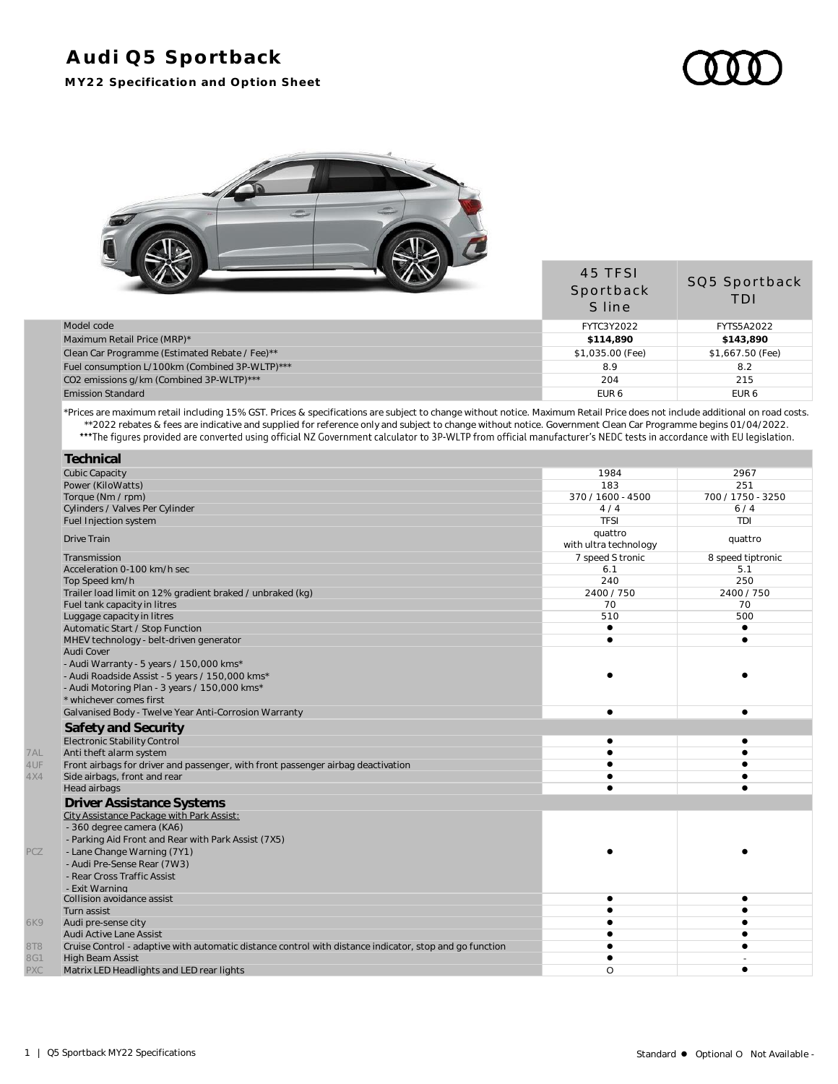## **Audi Q5 Sportback**

**MY22 Specification and Option Sheet**

45 TFSI



|                                                | .<br>Sportback<br>S line | SQ5 Sportback<br>TDI |
|------------------------------------------------|--------------------------|----------------------|
| Model code                                     | FYTC3Y2022               | <b>FYTS5A2022</b>    |
| Maximum Retail Price (MRP)*                    | \$114,890                | \$143,890            |
| Clean Car Programme (Estimated Rebate / Fee)** | \$1,035.00 (Fee)         | \$1,667.50 (Fee)     |
| Fuel consumption L/100km (Combined 3P-WLTP)*** | 8.9                      | 8.2                  |
| CO2 emissions g/km (Combined 3P-WLTP)***       | 204                      | 215                  |
| <b>Emission Standard</b>                       | EUR <sub>6</sub>         | EUR <sub>6</sub>     |

\*Prices are maximum retail including 15% GST. Prices & specifications are subject to change without notice. Maximum Retail Price does not include additional on road costs. \*\*2022 rebates & fees are indicative and supplied for reference only and subject to change without notice. Government Clean Car Programme begins 01/04/2022.

|     | Technical                                                                                               |                                  |                   |
|-----|---------------------------------------------------------------------------------------------------------|----------------------------------|-------------------|
|     | <b>Cubic Capacity</b>                                                                                   | 1984                             | 2967              |
|     | Power (KiloWatts)                                                                                       | 183                              | 251               |
|     | Torque (Nm / rpm)                                                                                       | 370 / 1600 - 4500                | 700 / 1750 - 3250 |
|     | Cylinders / Valves Per Cylinder                                                                         | 4/4                              | 6/4               |
|     | Fuel Injection system                                                                                   | <b>TFSI</b>                      | TDI               |
|     | <b>Drive Train</b>                                                                                      | quattro<br>with ultra technology | quattro           |
|     | Transmission                                                                                            | 7 speed S tronic                 | 8 speed tiptronic |
|     | Acceleration 0-100 km/h sec                                                                             | 6.1                              | 5.1               |
|     | Top Speed km/h                                                                                          | 240                              | 250               |
|     | Trailer load limit on 12% gradient braked / unbraked (kg)                                               | 2400 / 750                       | 2400 / 750        |
|     | Fuel tank capacity in litres                                                                            | 70                               | 70                |
|     | Luggage capacity in litres                                                                              | 510                              | 500               |
|     | Automatic Start / Stop Function                                                                         | $\bullet$                        | $\bullet$         |
|     | MHEV technology - belt-driven generator                                                                 | $\bullet$                        | $\bullet$         |
|     | Audi Cover                                                                                              |                                  |                   |
|     | - Audi Warranty - 5 years / 150,000 kms*                                                                |                                  |                   |
|     | - Audi Roadside Assist - 5 years / 150,000 kms*                                                         |                                  |                   |
|     | - Audi Motoring Plan - 3 years / 150,000 kms*                                                           |                                  |                   |
|     | * whichever comes first                                                                                 |                                  |                   |
|     | Galvanised Body - Twelve Year Anti-Corrosion Warranty                                                   | $\bullet$                        |                   |
|     | Safety and Security                                                                                     |                                  |                   |
|     | Electronic Stability Control                                                                            | $\bullet$                        |                   |
| 7AL | Anti theft alarm system                                                                                 |                                  |                   |
| 4UF | Front airbags for driver and passenger, with front passenger airbag deactivation                        |                                  |                   |
| 4X4 | Side airbags, front and rear                                                                            |                                  |                   |
|     | Head airbags                                                                                            |                                  |                   |
|     | <b>Driver Assistance Systems</b>                                                                        |                                  |                   |
|     | City Assistance Package with Park Assist:                                                               |                                  |                   |
|     | - 360 degree camera (KA6)                                                                               |                                  |                   |
|     | - Parking Aid Front and Rear with Park Assist (7X5)                                                     |                                  |                   |
| PCZ | - Lane Change Warning (7Y1)                                                                             |                                  |                   |
|     | - Audi Pre-Sense Rear (7W3)                                                                             |                                  |                   |
|     | - Rear Cross Traffic Assist                                                                             |                                  |                   |
|     | - Exit Warning                                                                                          |                                  |                   |
|     | Collision avoidance assist                                                                              | ٠                                |                   |
|     | Turn assist                                                                                             |                                  |                   |
| 6K9 | Audi pre-sense city                                                                                     |                                  |                   |
|     | Audi Active Lane Assist                                                                                 |                                  |                   |
| 8T8 | Cruise Control - adaptive with automatic distance control with distance indicator, stop and go function |                                  |                   |
| 8G1 | <b>High Beam Assist</b>                                                                                 |                                  |                   |
| PXC | Matrix LED Headlights and LED rear lights                                                               | O                                | ٠                 |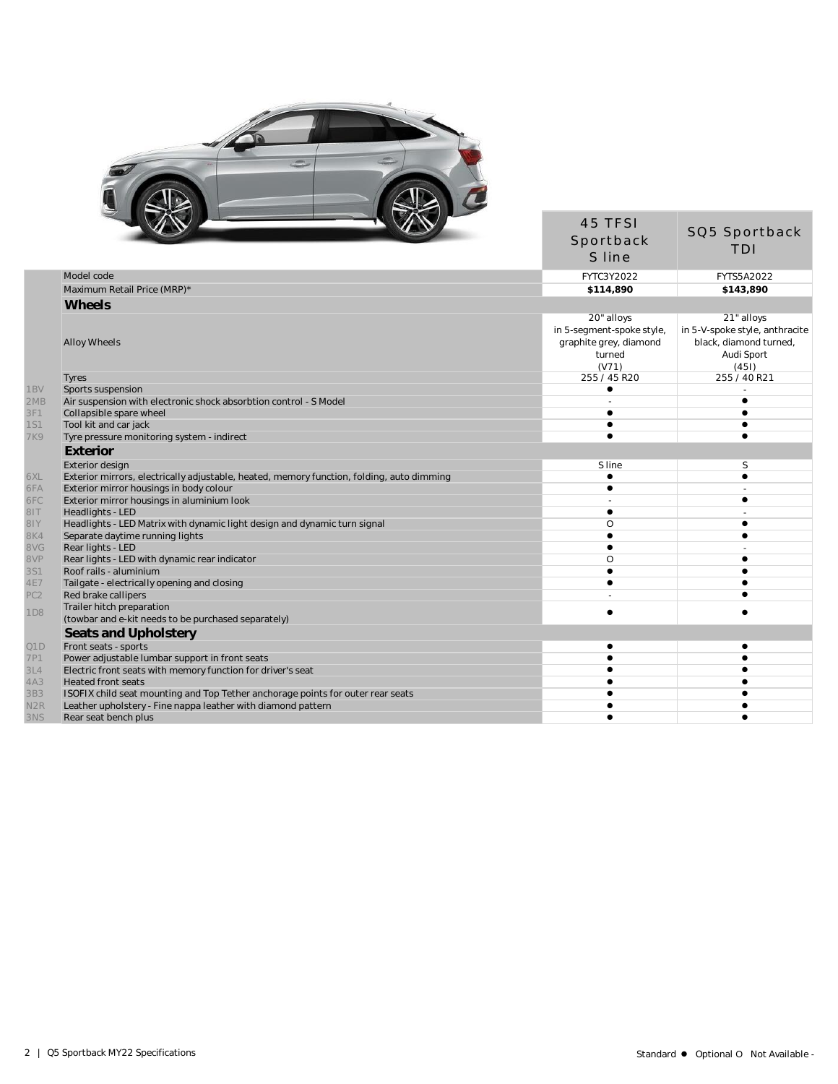

|                        |                                                                                           | 45 TFSI<br>Sportback<br>S line                                         | SQ5 Sportback<br><b>TDI</b>                                                     |
|------------------------|-------------------------------------------------------------------------------------------|------------------------------------------------------------------------|---------------------------------------------------------------------------------|
|                        | Model code                                                                                | FYTC3Y2022                                                             | FYTS5A2022                                                                      |
|                        | Maximum Retail Price (MRP)*                                                               | \$114,890                                                              | \$143,890                                                                       |
|                        | Wheels                                                                                    |                                                                        |                                                                                 |
|                        |                                                                                           | 20" alloys                                                             | 21" alloys                                                                      |
|                        | <b>Alloy Wheels</b>                                                                       | in 5-segment-spoke style,<br>graphite grey, diamond<br>turned<br>(V71) | in 5-V-spoke style, anthracite<br>black, diamond turned,<br>Audi Sport<br>(451) |
|                        | <b>Tyres</b>                                                                              | 255 / 45 R20                                                           | 255 / 40 R21                                                                    |
| 1BV                    | Sports suspension                                                                         |                                                                        |                                                                                 |
| 2MB                    | Air suspension with electronic shock absorbtion control - S Model                         |                                                                        |                                                                                 |
| 3F1                    | Collapsible spare wheel                                                                   |                                                                        |                                                                                 |
| <b>1S1</b>             | Tool kit and car jack                                                                     |                                                                        |                                                                                 |
| <b>7K9</b>             | Tyre pressure monitoring system - indirect                                                |                                                                        |                                                                                 |
|                        | Exterior                                                                                  |                                                                        |                                                                                 |
|                        | Exterior design                                                                           | S line                                                                 | S                                                                               |
| 6XL                    | Exterior mirrors, electrically adjustable, heated, memory function, folding, auto dimming | $\bullet$                                                              | $\bullet$                                                                       |
| 6FA                    | Exterior mirror housings in body colour                                                   | ∙                                                                      |                                                                                 |
| 6FC                    | Exterior mirror housings in aluminium look                                                |                                                                        |                                                                                 |
| TI8                    | Headlights - LED                                                                          | $\bullet$                                                              |                                                                                 |
| 81Y                    | Headlights - LED Matrix with dynamic light design and dynamic turn signal                 | O                                                                      |                                                                                 |
| 8K4                    | Separate daytime running lights                                                           |                                                                        |                                                                                 |
| 8VG                    | Rear lights - LED                                                                         |                                                                        |                                                                                 |
| 8VP                    | Rear lights - LED with dynamic rear indicator                                             | O                                                                      |                                                                                 |
| 3S1                    | Roof rails - aluminium                                                                    | $\bullet$                                                              |                                                                                 |
| 4E7<br>PC <sub>2</sub> | Tailgate - electrically opening and closing                                               |                                                                        |                                                                                 |
|                        | Red brake callipers<br>Trailer hitch preparation                                          |                                                                        |                                                                                 |
| 1D8                    | (towbar and e-kit needs to be purchased separately)                                       | $\bullet$                                                              |                                                                                 |
|                        | Seats and Upholstery                                                                      |                                                                        |                                                                                 |
| Q1D                    | Front seats - sports                                                                      | $\bullet$                                                              |                                                                                 |
| 7P1                    | Power adjustable lumbar support in front seats                                            |                                                                        |                                                                                 |
| 3L4                    | Electric front seats with memory function for driver's seat                               |                                                                        |                                                                                 |
| 4A3                    | <b>Heated front seats</b>                                                                 |                                                                        |                                                                                 |
| 3B3                    | ISOFIX child seat mounting and Top Tether anchorage points for outer rear seats           |                                                                        |                                                                                 |
| N <sub>2</sub> R       | Leather upholstery - Fine nappa leather with diamond pattern                              |                                                                        |                                                                                 |
| 3NS                    | Rear seat bench plus                                                                      |                                                                        |                                                                                 |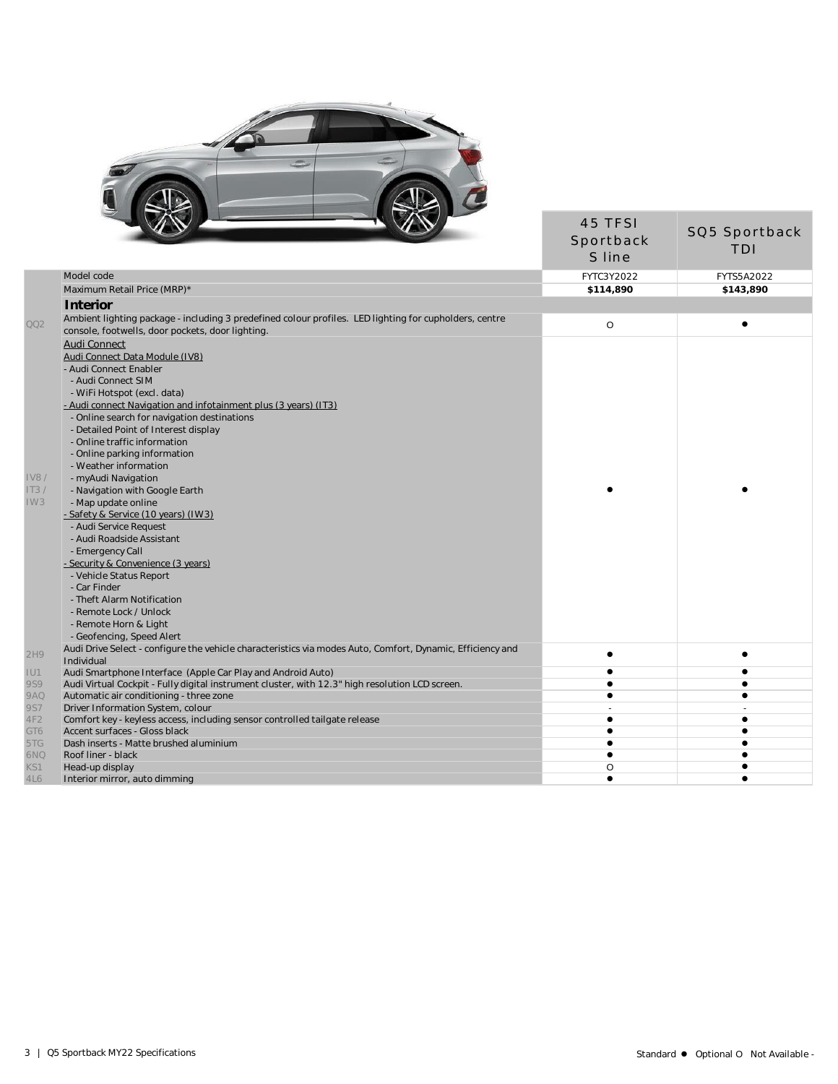

|                 |                                                                                                                                                            | 45 TFSI<br>Sportback<br>S line | SQ5 Sportback<br>TDI |
|-----------------|------------------------------------------------------------------------------------------------------------------------------------------------------------|--------------------------------|----------------------|
|                 | Model code                                                                                                                                                 | FYTC3Y2022                     | <b>FYTS5A2022</b>    |
|                 | Maximum Retail Price (MRP)*                                                                                                                                | \$114,890                      | \$143.890            |
|                 | Interior                                                                                                                                                   |                                |                      |
| 002             | Ambient lighting package - including 3 predefined colour profiles. LED lighting for cupholders, centre<br>console, footwells, door pockets, door lighting. | $\circ$                        | $\bullet$            |
|                 | Audi Connect                                                                                                                                               |                                |                      |
|                 | Audi Connect Data Module (IV8)                                                                                                                             |                                |                      |
|                 | - Audi Connect Enabler                                                                                                                                     |                                |                      |
|                 | - Audi Connect SIM                                                                                                                                         |                                |                      |
|                 | - WiFi Hotspot (excl. data)                                                                                                                                |                                |                      |
|                 | - Audi connect Navigation and infotainment plus (3 years) (IT3)                                                                                            |                                |                      |
|                 | - Online search for navigation destinations                                                                                                                |                                |                      |
|                 | - Detailed Point of Interest display                                                                                                                       |                                |                      |
|                 | - Online traffic information                                                                                                                               |                                |                      |
|                 | - Online parking information                                                                                                                               |                                |                      |
|                 | - Weather information                                                                                                                                      |                                |                      |
| <b>IV8/</b>     | - myAudi Navigation                                                                                                                                        |                                |                      |
| IT3/            | - Navigation with Google Earth                                                                                                                             |                                |                      |
| IW3             | - Map update online                                                                                                                                        |                                |                      |
|                 | - Safety & Service (10 years) (IW3)                                                                                                                        |                                |                      |
|                 | - Audi Service Request                                                                                                                                     |                                |                      |
|                 | - Audi Roadside Assistant                                                                                                                                  |                                |                      |
|                 | - Emergency Call                                                                                                                                           |                                |                      |
|                 | - Security & Convenience (3 years)                                                                                                                         |                                |                      |
|                 | - Vehicle Status Report                                                                                                                                    |                                |                      |
|                 | - Car Finder                                                                                                                                               |                                |                      |
|                 | - Theft Alarm Notification                                                                                                                                 |                                |                      |
|                 | - Remote Lock / Unlock                                                                                                                                     |                                |                      |
|                 |                                                                                                                                                            |                                |                      |
|                 | - Remote Horn & Light<br>- Geofencing, Speed Alert                                                                                                         |                                |                      |
|                 |                                                                                                                                                            |                                |                      |
| 2H9             | Audi Drive Select - configure the vehicle characteristics via modes Auto, Comfort, Dynamic, Efficiency and<br>Individual                                   | $\bullet$                      | $\bullet$            |
|                 | Audi Smartphone Interface (Apple Car Play and Android Auto)                                                                                                | $\bullet$                      | ٠                    |
| IU1<br>9S9      | Audi Virtual Cockpit - Fully digital instrument cluster, with 12.3" high resolution LCD screen.                                                            | $\bullet$                      |                      |
| <b>9AQ</b>      | Automatic air conditioning - three zone                                                                                                                    | $\bullet$                      | $\bullet$            |
| 9S7             | Driver Information System, colour                                                                                                                          |                                |                      |
| 4F <sub>2</sub> | Comfort key - keyless access, including sensor controlled tailgate release                                                                                 |                                | ٠                    |
| GT6             | Accent surfaces - Gloss black                                                                                                                              |                                |                      |
| 5TG             | Dash inserts - Matte brushed aluminium                                                                                                                     |                                |                      |
| 6NQ             | Roof liner - black                                                                                                                                         |                                |                      |
| KS1             | Head-up display                                                                                                                                            | O                              |                      |
| 4L6             | Interior mirror, auto dimming                                                                                                                              | $\bullet$                      | $\bullet$            |
|                 |                                                                                                                                                            |                                |                      |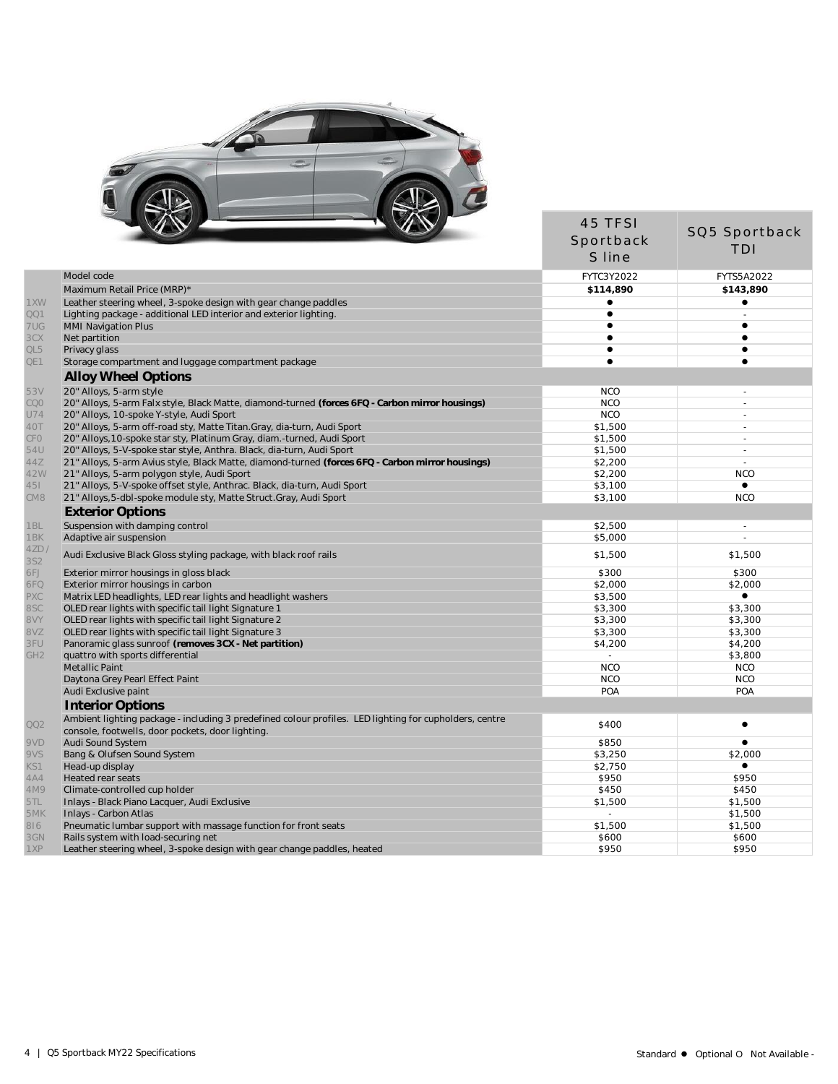

|                    | $\sim$                                                                                                                                                     | Sportback<br>S line | SQ5 Sportback<br><b>TDI</b> |
|--------------------|------------------------------------------------------------------------------------------------------------------------------------------------------------|---------------------|-----------------------------|
|                    | Model code                                                                                                                                                 | FYTC3Y2022          | FYTS5A2022                  |
|                    | Maximum Retail Price (MRP)*                                                                                                                                | \$114,890           | \$143,890                   |
| 1XW                | Leather steering wheel, 3-spoke design with gear change paddles                                                                                            |                     | $\bullet$                   |
| QQ1                | Lighting package - additional LED interior and exterior lighting                                                                                           | $\bullet$           |                             |
| 7UG                | <b>MMI Navigation Plus</b>                                                                                                                                 | $\bullet$           | $\bullet$                   |
| 3CX                | Net partition                                                                                                                                              | ٠                   | $\bullet$                   |
| QL5                | Privacy glass                                                                                                                                              |                     |                             |
| QE1                | Storage compartment and luggage compartment package                                                                                                        | $\bullet$           | $\bullet$                   |
|                    | <b>Alloy Wheel Options</b>                                                                                                                                 |                     |                             |
| 53V                | 20" Alloys, 5-arm style                                                                                                                                    | <b>NCO</b>          | $\sim$                      |
| <b>COO</b>         | 20" Alloys, 5-arm Falx style, Black Matte, diamond-turned (forces 6FQ - Carbon mirror housings)                                                            | <b>NCO</b>          | $\sim$                      |
| U74                | 20" Alloys, 10-spoke Y-style, Audi Sport                                                                                                                   | <b>NCO</b>          | $\sim$                      |
| 40T                | 20" Alloys, 5-arm off-road sty, Matte Titan. Gray, dia-turn, Audi Sport                                                                                    | \$1,500             | $\sim$                      |
| CFO                | 20" Alloys, 10-spoke star sty, Platinum Gray, diam.-turned, Audi Sport                                                                                     | \$1,500             |                             |
| 54U                | 20" Alloys, 5-V-spoke star style, Anthra. Black, dia-turn, Audi Sport                                                                                      | \$1,500             | ÷.                          |
| 44Z                | 21" Alloys, 5-arm Avius style, Black Matte, diamond-turned (forces 6FQ - Carbon mirror housings)                                                           | \$2,200             | $\sim$                      |
| 42W                | 21" Alloys, 5-arm polygon style, Audi Sport                                                                                                                | \$2,200             | <b>NCO</b>                  |
| 451                | 21" Alloys, 5-V-spoke offset style, Anthrac. Black, dia-turn, Audi Sport                                                                                   | \$3,100             | $\bullet$                   |
| CM8                | 21" Alloys, 5-dbl-spoke module sty, Matte Struct. Gray, Audi Sport                                                                                         | \$3,100             | <b>NCO</b>                  |
|                    | <b>Exterior Options</b>                                                                                                                                    |                     |                             |
| 1BL                | Suspension with damping control                                                                                                                            | \$2,500             | $\sim$                      |
| 1BK                | Adaptive air suspension                                                                                                                                    | \$5,000             |                             |
| 4ZD/<br><b>3S2</b> | Audi Exclusive Black Gloss styling package, with black roof rails                                                                                          | \$1,500             | \$1,500                     |
| 6FJ                | Exterior mirror housings in gloss black                                                                                                                    | \$300               | \$300                       |
| 6FQ                | Exterior mirror housings in carbon                                                                                                                         | \$2,000             | \$2,000                     |
| PXC                | Matrix LED headlights, LED rear lights and headlight washers                                                                                               | \$3,500             | $\bullet$                   |
| 8SC                | OLED rear lights with specific tail light Signature 1                                                                                                      | \$3,300             | \$3,300                     |
| 8VY                | OLED rear lights with specific tail light Signature 2                                                                                                      | \$3,300             | \$3,300                     |
| 8VZ                | OLED rear lights with specific tail light Signature 3                                                                                                      | \$3,300             | \$3,300                     |
| 3FU                | Panoramic glass sunroof (removes 3CX - Net partition)                                                                                                      | \$4,200             | \$4,200                     |
| GH <sub>2</sub>    | quattro with sports differential                                                                                                                           | $\blacksquare$      | \$3,800                     |
|                    | Metallic Paint                                                                                                                                             | <b>NCO</b>          | <b>NCO</b>                  |
|                    | Daytona Grey Pearl Effect Paint                                                                                                                            | <b>NCO</b>          | <b>NCO</b>                  |
|                    | Audi Exclusive paint                                                                                                                                       | POA                 | POA                         |
|                    | Interior Options                                                                                                                                           |                     |                             |
| QQ2                | Ambient lighting package - including 3 predefined colour profiles. LED lighting for cupholders, centre<br>console, footwells, door pockets, door lighting. | \$400               | $\bullet$                   |
| 9VD                | Audi Sound System                                                                                                                                          | \$850               |                             |
| 9VS                | Bang & Olufsen Sound System                                                                                                                                | \$3,250             | \$2,000                     |
| KS1                | Head-up display                                                                                                                                            | \$2,750             | $\bullet$                   |
| 4A4                | Heated rear seats                                                                                                                                          | \$950               | \$950                       |
| 4M9                | Climate-controlled cup holder                                                                                                                              | \$450               | \$450                       |
| 5TL                | Inlays - Black Piano Lacquer, Audi Exclusive                                                                                                               | \$1,500             | \$1,500                     |
| 5MK                | Inlays - Carbon Atlas                                                                                                                                      | $\mathbf{r}$        | \$1,500                     |
| 816                | Pneumatic lumbar support with massage function for front seats                                                                                             | \$1,500             | \$1,500                     |
| 3GN                | Rails system with load-securing net                                                                                                                        | \$600               | \$600                       |
| 1XP                | Leather steering wheel, 3-spoke design with gear change paddles, heated                                                                                    | \$950               | \$950                       |

45 TFSI